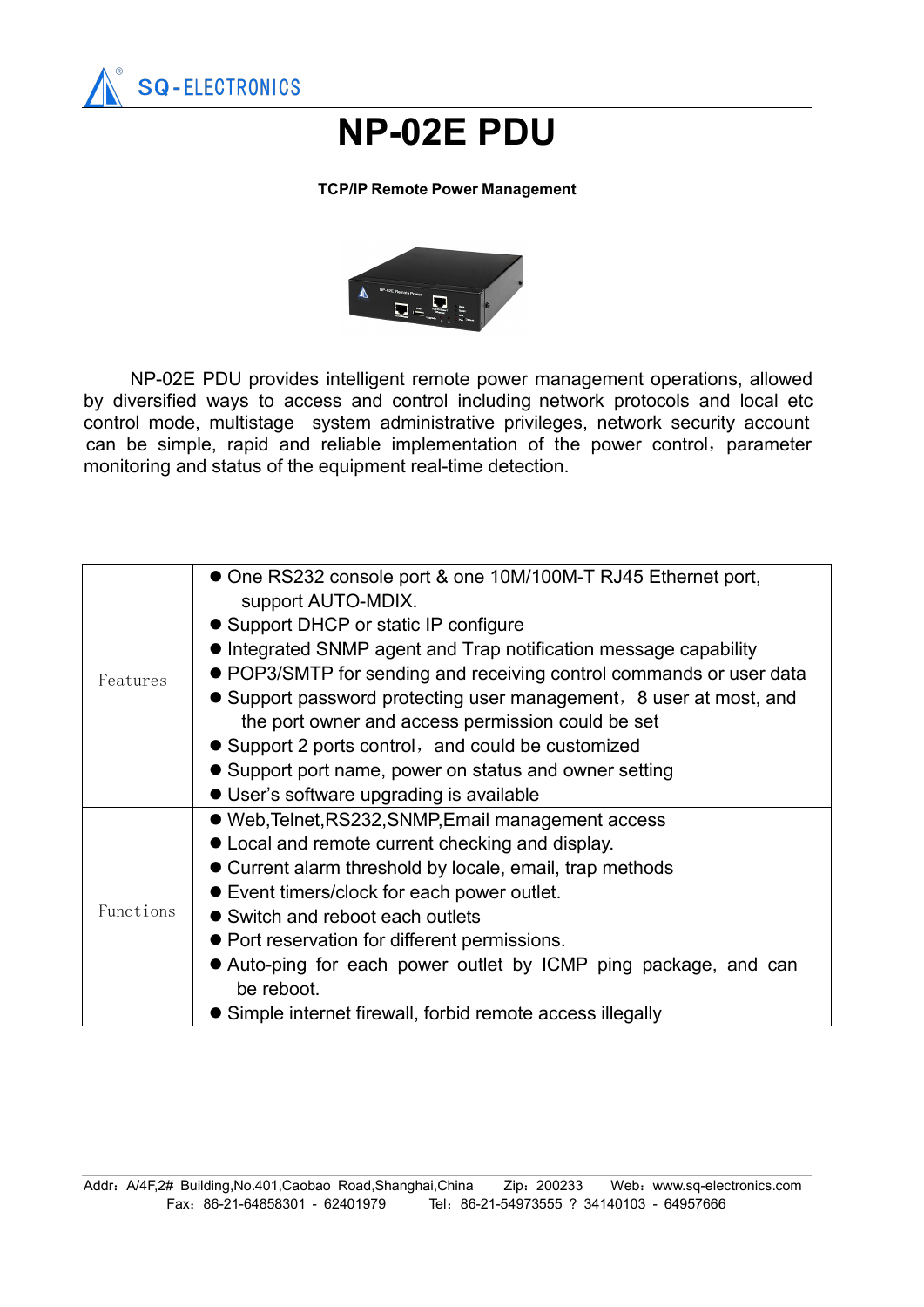

## **NP-02E PDU**

## **TCP/IP Remote Power Management**



NP-02E PDU provides intelligent remote power management operations, allowed by diversified ways to access and control including network protocols and local etc control mode, multistage system administrative privileges, network security account can be simple, rapid and reliable implementation of the power control, parameter monitoring and status of the equipment real-time detection.

| Features  | • One RS232 console port & one 10M/100M-T RJ45 Ethernet port,<br>support AUTO-MDIX. |
|-----------|-------------------------------------------------------------------------------------|
|           | • Support DHCP or static IP configure                                               |
|           | • Integrated SNMP agent and Trap notification message capability                    |
|           | • POP3/SMTP for sending and receiving control commands or user data                 |
|           | • Support password protecting user management, 8 user at most, and                  |
|           | the port owner and access permission could be set                                   |
|           | • Support 2 ports control, and could be customized                                  |
|           | • Support port name, power on status and owner setting                              |
|           | • User's software upgrading is available                                            |
| Functions | • Web, Telnet, RS232, SNMP, Email management access                                 |
|           | • Local and remote current checking and display.                                    |
|           | • Current alarm threshold by locale, email, trap methods                            |
|           | • Event timers/clock for each power outlet.                                         |
|           | • Switch and reboot each outlets                                                    |
|           | • Port reservation for different permissions.                                       |
|           | • Auto-ping for each power outlet by ICMP ping package, and can                     |
|           | be reboot.                                                                          |
|           | • Simple internet firewall, forbid remote access illegally                          |